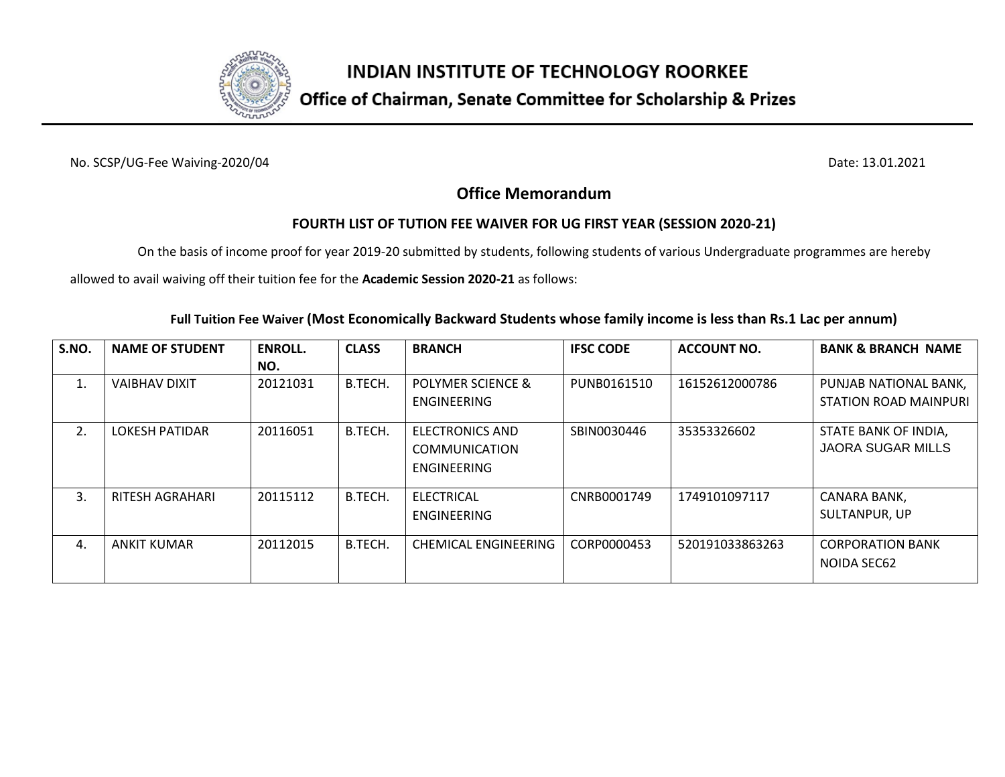

No. SCSP/UG-Fee Waiving-2020/04 Date: 13.01.2021

### **Office Memorandum**

### **FOURTH LIST OF TUTION FEE WAIVER FOR UG FIRST YEAR (SESSION 2020-21)**

On the basis of income proof for year 2019-20 submitted by students, following students of various Undergraduate programmes are hereby

allowed to avail waiving off their tuition fee for the **Academic Session 2020-21** as follows:

### **Full Tuition Fee Waiver (Most Economically Backward Students whose family income is less than Rs.1 Lac per annum)**

| S.NO. | <b>NAME OF STUDENT</b> | <b>ENROLL.</b> | <b>CLASS</b> | <b>BRANCH</b>          | <b>IFSC CODE</b> | <b>ACCOUNT NO.</b> | <b>BANK &amp; BRANCH NAME</b> |
|-------|------------------------|----------------|--------------|------------------------|------------------|--------------------|-------------------------------|
|       |                        | NO.            |              |                        |                  |                    |                               |
| 1.    | <b>VAIBHAV DIXIT</b>   | 20121031       | B.TECH.      | POLYMER SCIENCE &      | PUNB0161510      | 16152612000786     | PUNJAB NATIONAL BANK.         |
|       |                        |                |              | ENGINEERING            |                  |                    | <b>STATION ROAD MAINPURI</b>  |
| 2.    | <b>LOKESH PATIDAR</b>  | 20116051       | B.TECH.      | <b>ELECTRONICS AND</b> | SBIN0030446      | 35353326602        | STATE BANK OF INDIA,          |
|       |                        |                |              | <b>COMMUNICATION</b>   |                  |                    | <b>JAORA SUGAR MILLS</b>      |
|       |                        |                |              | <b>ENGINEERING</b>     |                  |                    |                               |
| 3.    | RITESH AGRAHARI        | 20115112       | B.TECH.      | <b>ELECTRICAL</b>      | CNRB0001749      | 1749101097117      | CANARA BANK,                  |
|       |                        |                |              | <b>ENGINEERING</b>     |                  |                    | SULTANPUR, UP                 |
| 4.    | ANKIT KUMAR            | 20112015       | B.TECH.      | CHEMICAL ENGINEERING   | CORP0000453      | 520191033863263    | <b>CORPORATION BANK</b>       |
|       |                        |                |              |                        |                  |                    | NOIDA SEC62                   |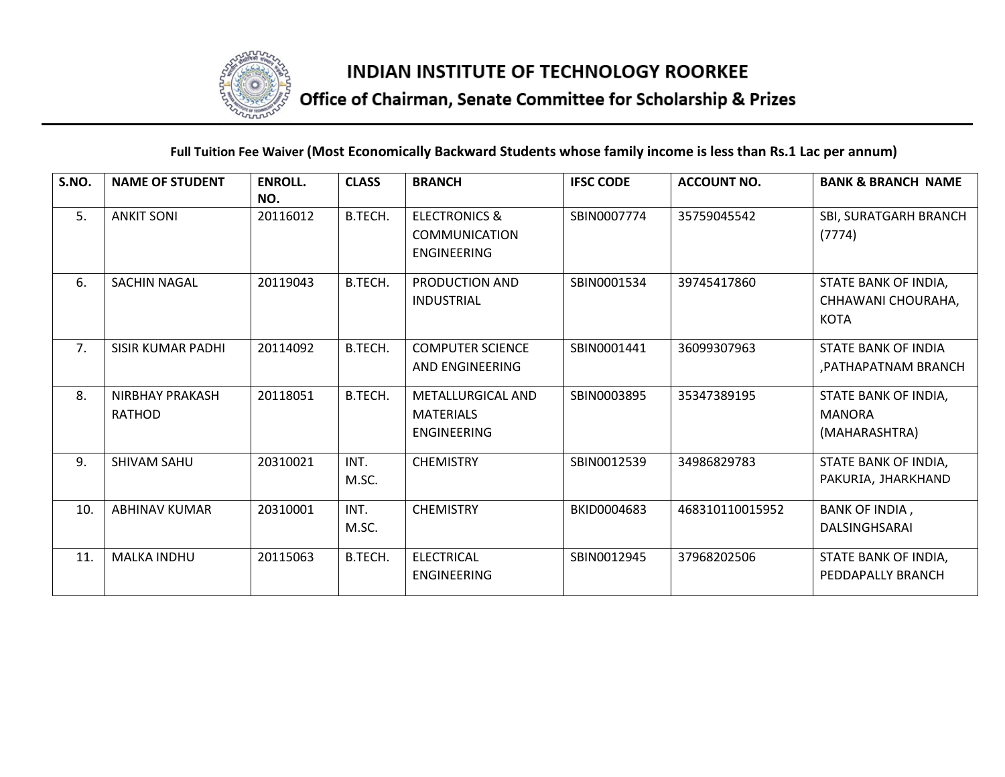

# Office of Chairman, Senate Committee for Scholarship & Prizes

#### **Full Tuition Fee Waiver (Most Economically Backward Students whose family income is less than Rs.1 Lac per annum)**

| S.NO. | <b>NAME OF STUDENT</b>                  | <b>ENROLL.</b><br>NO. | <b>CLASS</b>  | <b>BRANCH</b>                                                          | <b>IFSC CODE</b> | <b>ACCOUNT NO.</b> | <b>BANK &amp; BRANCH NAME</b>                             |
|-------|-----------------------------------------|-----------------------|---------------|------------------------------------------------------------------------|------------------|--------------------|-----------------------------------------------------------|
| 5.    | <b>ANKIT SONI</b>                       | 20116012              | B.TECH.       | <b>ELECTRONICS &amp;</b><br><b>COMMUNICATION</b><br><b>ENGINEERING</b> | SBIN0007774      | 35759045542        | SBI, SURATGARH BRANCH<br>(7774)                           |
| 6.    | <b>SACHIN NAGAL</b>                     | 20119043              | B.TECH.       | PRODUCTION AND<br><b>INDUSTRIAL</b>                                    | SBIN0001534      | 39745417860        | STATE BANK OF INDIA,<br>CHHAWANI CHOURAHA,<br><b>KOTA</b> |
| 7.    | <b>SISIR KUMAR PADHI</b>                | 20114092              | B.TECH.       | <b>COMPUTER SCIENCE</b><br>AND ENGINEERING                             | SBIN0001441      | 36099307963        | STATE BANK OF INDIA<br>, PATHAPATNAM BRANCH               |
| 8.    | <b>NIRBHAY PRAKASH</b><br><b>RATHOD</b> | 20118051              | B.TECH.       | METALLURGICAL AND<br><b>MATERIALS</b><br><b>ENGINEERING</b>            | SBIN0003895      | 35347389195        | STATE BANK OF INDIA,<br><b>MANORA</b><br>(MAHARASHTRA)    |
| 9.    | <b>SHIVAM SAHU</b>                      | 20310021              | INT.<br>M.SC. | <b>CHEMISTRY</b>                                                       | SBIN0012539      | 34986829783        | STATE BANK OF INDIA,<br>PAKURIA, JHARKHAND                |
| 10.   | <b>ABHINAV KUMAR</b>                    | 20310001              | INT.<br>M.SC. | <b>CHEMISTRY</b>                                                       | BKID0004683      | 468310110015952    | <b>BANK OF INDIA,</b><br>DALSINGHSARAI                    |
| 11.   | <b>MALKA INDHU</b>                      | 20115063              | B.TECH.       | <b>ELECTRICAL</b><br><b>ENGINEERING</b>                                | SBIN0012945      | 37968202506        | STATE BANK OF INDIA,<br>PEDDAPALLY BRANCH                 |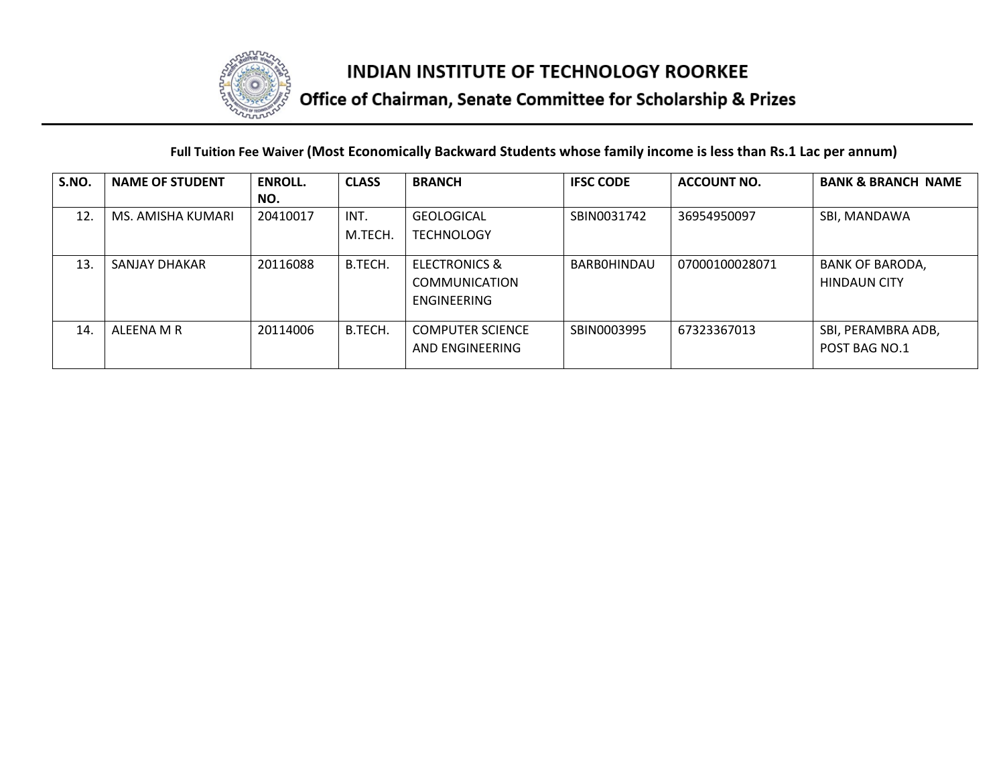

# Office of Chairman, Senate Committee for Scholarship & Prizes

#### **Full Tuition Fee Waiver (Most Economically Backward Students whose family income is less than Rs.1 Lac per annum)**

| S.NO. | <b>NAME OF STUDENT</b> | <b>ENROLL.</b> | <b>CLASS</b> | <b>BRANCH</b>            | <b>IFSC CODE</b>   | <b>ACCOUNT NO.</b> | <b>BANK &amp; BRANCH NAME</b> |
|-------|------------------------|----------------|--------------|--------------------------|--------------------|--------------------|-------------------------------|
|       |                        | NO.            |              |                          |                    |                    |                               |
| 12.   | MS. AMISHA KUMARI      | 20410017       | INT.         | <b>GEOLOGICAL</b>        | SBIN0031742        | 36954950097        | SBI, MANDAWA                  |
|       |                        |                | M.TECH.      | <b>TECHNOLOGY</b>        |                    |                    |                               |
| 13    | SANJAY DHAKAR          | 20116088       | B.TECH.      | <b>ELECTRONICS &amp;</b> | <b>BARBOHINDAU</b> | 07000100028071     | <b>BANK OF BARODA,</b>        |
|       |                        |                |              | <b>COMMUNICATION</b>     |                    |                    | <b>HINDAUN CITY</b>           |
|       |                        |                |              | ENGINEERING              |                    |                    |                               |
| 14    | ALFFNA M R             | 20114006       | B.TECH.      | <b>COMPUTER SCIENCE</b>  | SBIN0003995        | 67323367013        | SBI, PERAMBRA ADB,            |
|       |                        |                |              | AND ENGINEERING          |                    |                    | POST BAG NO.1                 |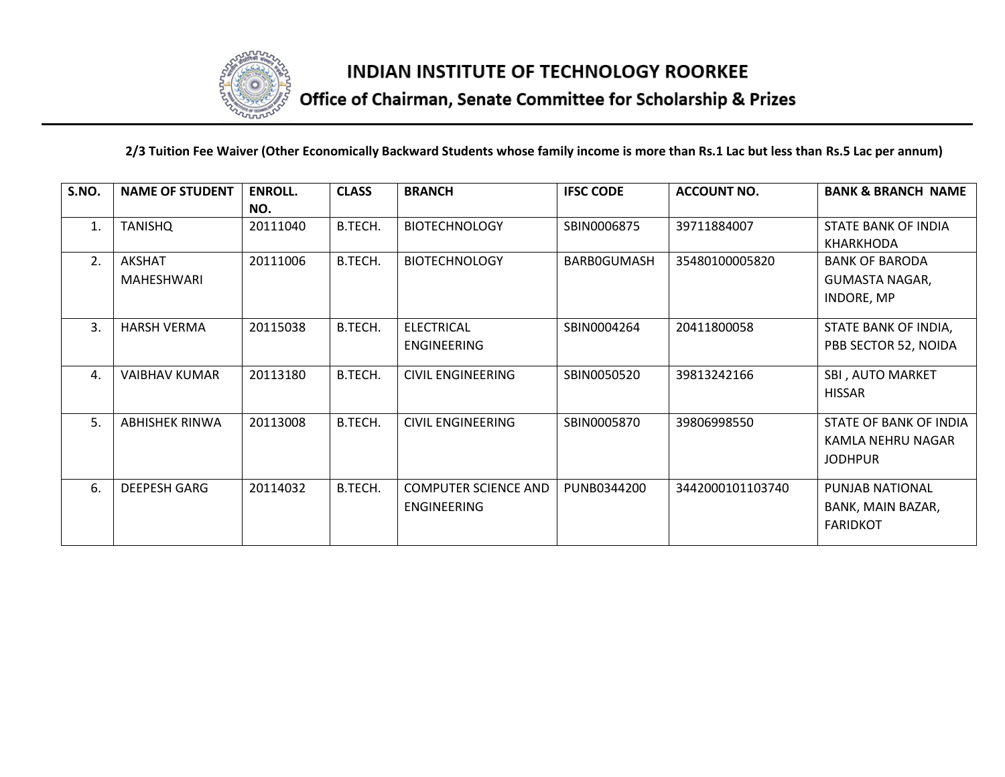

# Office of Chairman, Senate Committee for Scholarship & Prizes

**2/3 Tuition Fee Waiver (Other Economically Backward Students whose family income is more than Rs.1 Lac but less than Rs.5 Lac per annum)**

| S.NO. | <b>NAME OF STUDENT</b>             | <b>ENROLL.</b><br>NO. | <b>CLASS</b> | <b>BRANCH</b>                              | <b>IFSC CODE</b>   | <b>ACCOUNT NO.</b> | <b>BANK &amp; BRANCH NAME</b>                                       |
|-------|------------------------------------|-----------------------|--------------|--------------------------------------------|--------------------|--------------------|---------------------------------------------------------------------|
| 1.    | <b>TANISHQ</b>                     | 20111040              | B.TECH.      | <b>BIOTECHNOLOGY</b>                       | SBIN0006875        | 39711884007        | STATE BANK OF INDIA<br>KHARKHODA                                    |
| 2.    | <b>AKSHAT</b><br><b>MAHESHWARI</b> | 20111006              | B.TECH.      | <b>BIOTECHNOLOGY</b>                       | <b>BARBOGUMASH</b> | 35480100005820     | <b>BANK OF BARODA</b><br><b>GUMASTA NAGAR,</b><br><b>INDORE, MP</b> |
| 3.    | <b>HARSH VERMA</b>                 | 20115038              | B.TECH.      | <b>ELECTRICAL</b><br><b>ENGINEERING</b>    | SBIN0004264        | 20411800058        | STATE BANK OF INDIA,<br>PBB SECTOR 52, NOIDA                        |
| 4.    | <b>VAIBHAV KUMAR</b>               | 20113180              | B.TECH.      | <b>CIVIL ENGINEERING</b>                   | SBIN0050520        | 39813242166        | SBI, AUTO MARKET<br><b>HISSAR</b>                                   |
| 5.    | <b>ABHISHEK RINWA</b>              | 20113008              | B.TECH.      | <b>CIVIL ENGINEERING</b>                   | SBIN0005870        | 39806998550        | STATE OF BANK OF INDIA<br>KAMLA NEHRU NAGAR<br><b>JODHPUR</b>       |
| 6.    | <b>DEEPESH GARG</b>                | 20114032              | B.TECH.      | <b>COMPUTER SCIENCE AND</b><br>ENGINEERING | PUNB0344200        | 3442000101103740   | PUNJAB NATIONAL<br>BANK, MAIN BAZAR,<br><b>FARIDKOT</b>             |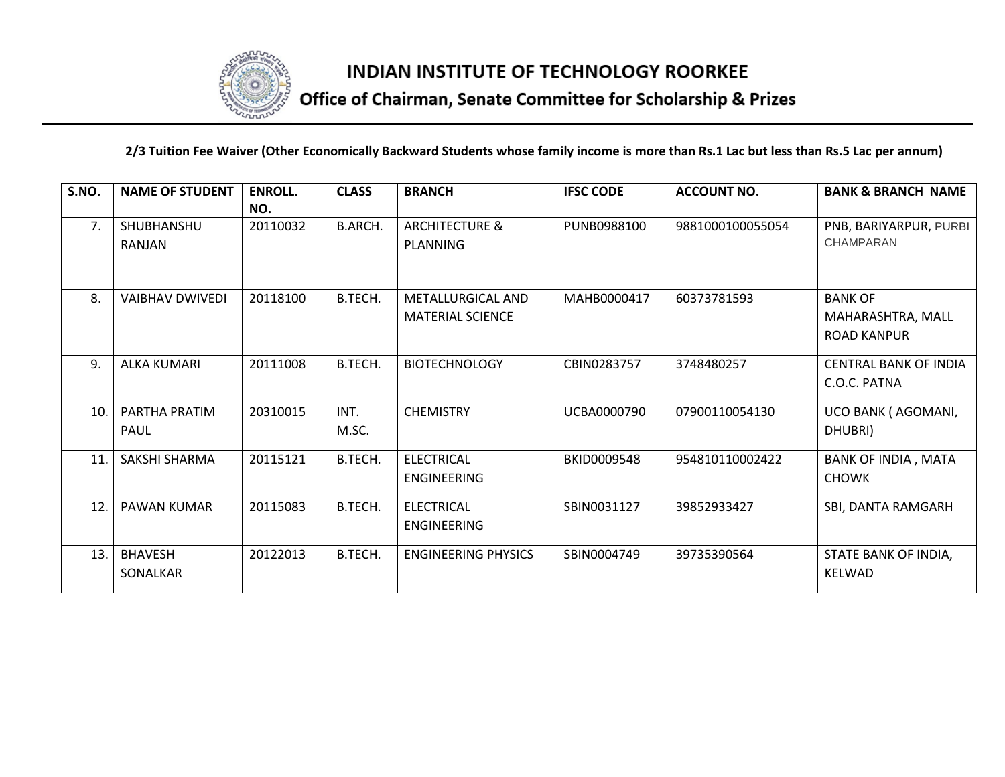

# Office of Chairman, Senate Committee for Scholarship & Prizes

#### **2/3 Tuition Fee Waiver (Other Economically Backward Students whose family income is more than Rs.1 Lac but less than Rs.5 Lac per annum)**

| S.NO. | <b>NAME OF STUDENT</b> | <b>ENROLL.</b> | <b>CLASS</b>   | <b>BRANCH</b>              | <b>IFSC CODE</b> | <b>ACCOUNT NO.</b> | <b>BANK &amp; BRANCH NAME</b> |
|-------|------------------------|----------------|----------------|----------------------------|------------------|--------------------|-------------------------------|
|       |                        | NO.            |                |                            |                  |                    |                               |
| 7.    | SHUBHANSHU             | 20110032       | <b>B.ARCH.</b> | <b>ARCHITECTURE &amp;</b>  | PUNB0988100      | 9881000100055054   | PNB, BARIYARPUR, PURBI        |
|       | <b>RANJAN</b>          |                |                | PLANNING                   |                  |                    | <b>CHAMPARAN</b>              |
|       |                        |                |                |                            |                  |                    |                               |
| 8.    | <b>VAIBHAV DWIVEDI</b> | 20118100       | B.TECH.        | METALLURGICAL AND          | MAHB0000417      | 60373781593        | <b>BANK OF</b>                |
|       |                        |                |                | <b>MATERIAL SCIENCE</b>    |                  |                    | MAHARASHTRA, MALL             |
|       |                        |                |                |                            |                  |                    | <b>ROAD KANPUR</b>            |
|       |                        |                |                |                            |                  |                    |                               |
| 9.    | <b>ALKA KUMARI</b>     | 20111008       | B.TECH.        | <b>BIOTECHNOLOGY</b>       | CBIN0283757      | 3748480257         | <b>CENTRAL BANK OF INDIA</b>  |
|       |                        |                |                |                            |                  |                    | C.O.C. PATNA                  |
| 10.   | PARTHA PRATIM          | 20310015       | INT.           | <b>CHEMISTRY</b>           | UCBA0000790      | 07900110054130     | UCO BANK (AGOMANI,            |
|       | PAUL                   |                | M.SC.          |                            |                  |                    | DHUBRI)                       |
| 11.   | SAKSHI SHARMA          | 20115121       | B.TECH.        | <b>ELECTRICAL</b>          | BKID0009548      | 954810110002422    | BANK OF INDIA, MATA           |
|       |                        |                |                | <b>ENGINEERING</b>         |                  |                    | <b>CHOWK</b>                  |
| 12.   | PAWAN KUMAR            | 20115083       | B.TECH.        | <b>ELECTRICAL</b>          | SBIN0031127      | 39852933427        | SBI, DANTA RAMGARH            |
|       |                        |                |                | <b>ENGINEERING</b>         |                  |                    |                               |
| 13.   | <b>BHAVESH</b>         | 20122013       | B.TECH.        | <b>ENGINEERING PHYSICS</b> | SBIN0004749      | 39735390564        | STATE BANK OF INDIA,          |
|       | SONALKAR               |                |                |                            |                  |                    | <b>KELWAD</b>                 |
|       |                        |                |                |                            |                  |                    |                               |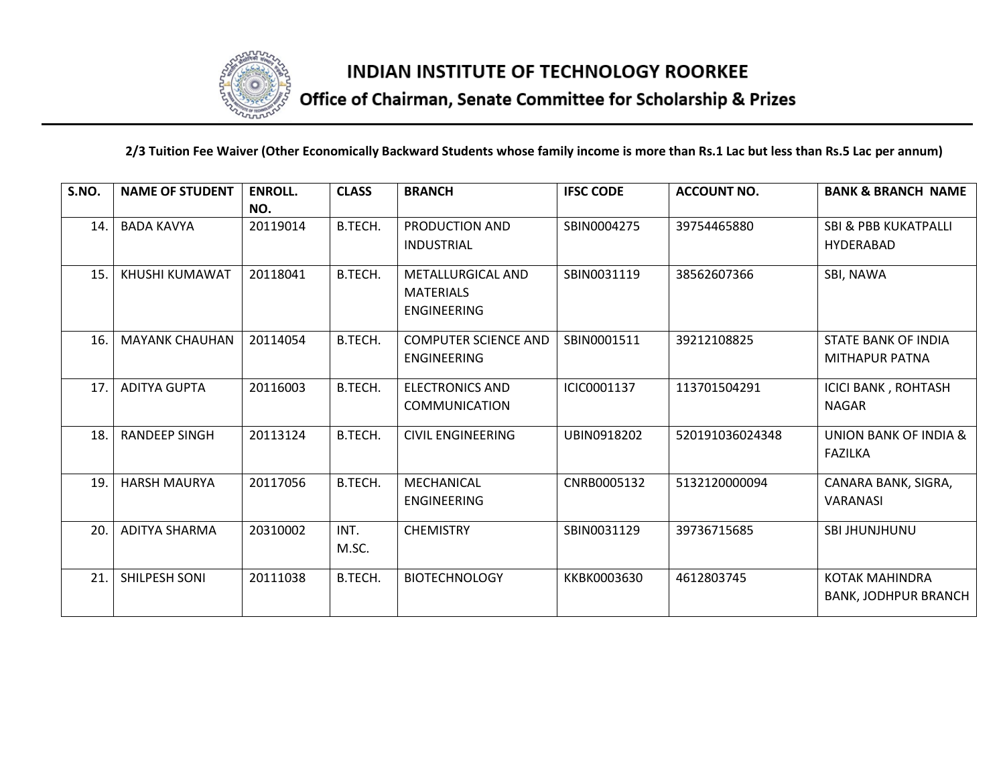

# Office of Chairman, Senate Committee for Scholarship & Prizes

#### **2/3 Tuition Fee Waiver (Other Economically Backward Students whose family income is more than Rs.1 Lac but less than Rs.5 Lac per annum)**

| S.NO. | <b>NAME OF STUDENT</b> | <b>ENROLL.</b><br>NO. | <b>CLASS</b>  | <b>BRANCH</b>                                        | <b>IFSC CODE</b> | <b>ACCOUNT NO.</b> | <b>BANK &amp; BRANCH NAME</b>                        |
|-------|------------------------|-----------------------|---------------|------------------------------------------------------|------------------|--------------------|------------------------------------------------------|
| 14.   | <b>BADA KAVYA</b>      | 20119014              | B.TECH.       | PRODUCTION AND<br><b>INDUSTRIAL</b>                  | SBIN0004275      | 39754465880        | SBI & PBB KUKATPALLI<br><b>HYDERABAD</b>             |
| 15.   | KHUSHI KUMAWAT         | 20118041              | B.TECH.       | METALLURGICAL AND<br><b>MATERIALS</b><br>ENGINEERING | SBIN0031119      | 38562607366        | SBI, NAWA                                            |
| 16.   | <b>MAYANK CHAUHAN</b>  | 20114054              | B.TECH.       | <b>COMPUTER SCIENCE AND</b><br>ENGINEERING           | SBIN0001511      | 39212108825        | <b>STATE BANK OF INDIA</b><br>MITHAPUR PATNA         |
| 17.   | <b>ADITYA GUPTA</b>    | 20116003              | B.TECH.       | <b>ELECTRONICS AND</b><br><b>COMMUNICATION</b>       | ICIC0001137      | 113701504291       | <b>ICICI BANK, ROHTASH</b><br><b>NAGAR</b>           |
| 18.   | <b>RANDEEP SINGH</b>   | 20113124              | B.TECH.       | <b>CIVIL ENGINEERING</b>                             | UBIN0918202      | 520191036024348    | UNION BANK OF INDIA &<br><b>FAZILKA</b>              |
| 19.   | <b>HARSH MAURYA</b>    | 20117056              | B.TECH.       | MECHANICAL<br><b>ENGINEERING</b>                     | CNRB0005132      | 5132120000094      | CANARA BANK, SIGRA,<br><b>VARANASI</b>               |
| 20.   | <b>ADITYA SHARMA</b>   | 20310002              | INT.<br>M.SC. | <b>CHEMISTRY</b>                                     | SBIN0031129      | 39736715685        | SBI JHUNJHUNU                                        |
| 21.   | SHILPESH SONI          | 20111038              | B.TECH.       | <b>BIOTECHNOLOGY</b>                                 | KKBK0003630      | 4612803745         | <b>KOTAK MAHINDRA</b><br><b>BANK, JODHPUR BRANCH</b> |